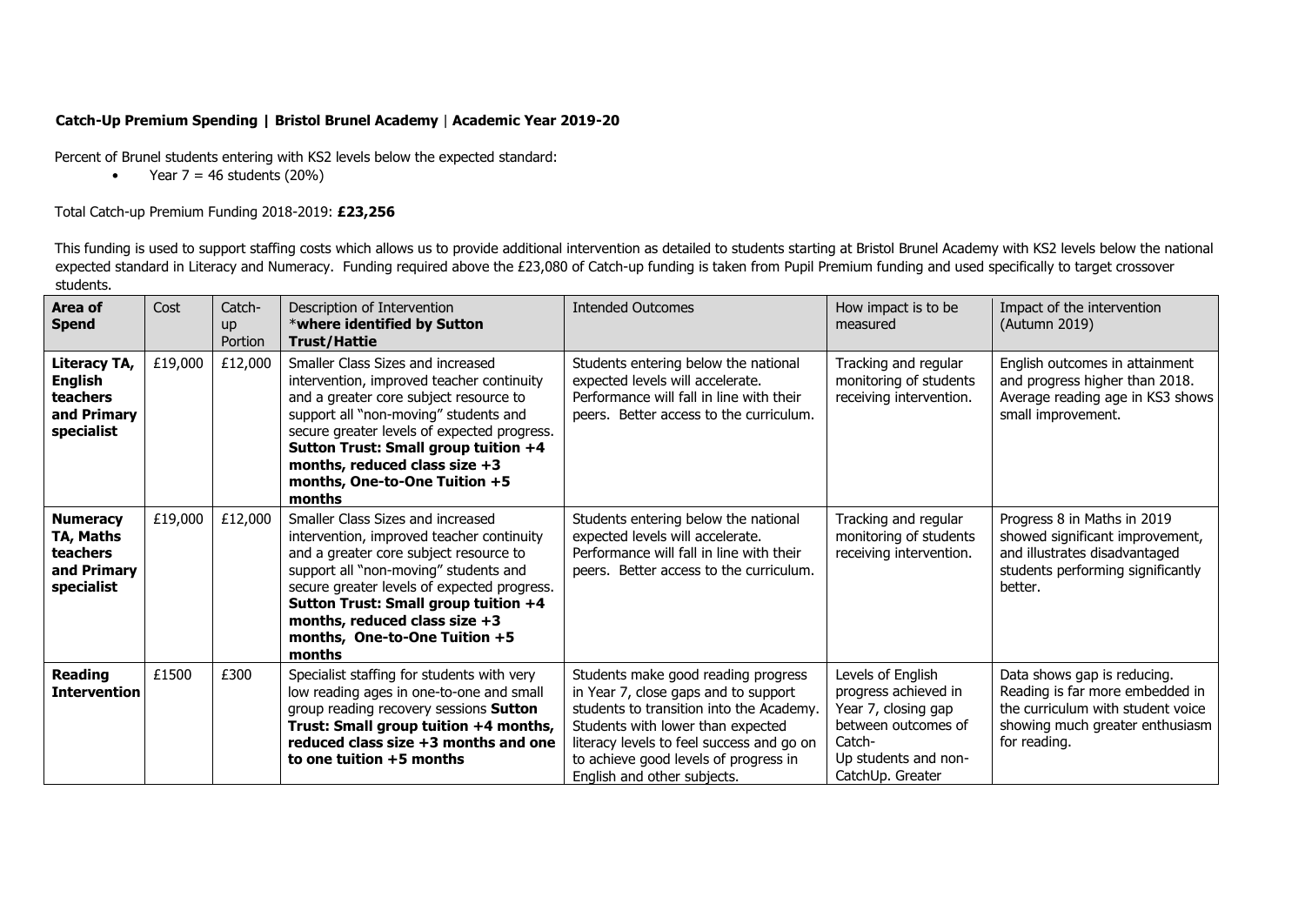## **Catch-Up Premium Spending | Bristol Brunel Academy** | **Academic Year 2019-20**

Percent of Brunel students entering with KS2 levels below the expected standard:

• Year  $7 = 46$  students (20%)

## Total Catch-up Premium Funding 2018-2019: **£23,256**

This funding is used to support staffing costs which allows us to provide additional intervention as detailed to students starting at Bristol Brunel Academy with KS2 levels below the national expected standard in Literacy and Numeracy. Funding required above the £23,080 of Catch-up funding is taken from Pupil Premium funding and used specifically to target crossover students.

| Area of<br><b>Spend</b>                                                        | Cost    | Catch-<br><b>up</b><br>Portion | Description of Intervention<br>*where identified by Sutton<br><b>Trust/Hattie</b>                                                                                                                                                                                                                                                      | <b>Intended Outcomes</b>                                                                                                                                                                                                                                                          | How impact is to be<br>measured                                                                                                               | Impact of the intervention<br>(Autumn 2019)                                                                                                            |
|--------------------------------------------------------------------------------|---------|--------------------------------|----------------------------------------------------------------------------------------------------------------------------------------------------------------------------------------------------------------------------------------------------------------------------------------------------------------------------------------|-----------------------------------------------------------------------------------------------------------------------------------------------------------------------------------------------------------------------------------------------------------------------------------|-----------------------------------------------------------------------------------------------------------------------------------------------|--------------------------------------------------------------------------------------------------------------------------------------------------------|
| Literacy TA,<br><b>English</b><br><b>teachers</b><br>and Primary<br>specialist | £19,000 | £12,000                        | Smaller Class Sizes and increased<br>intervention, improved teacher continuity<br>and a greater core subject resource to<br>support all "non-moving" students and<br>secure greater levels of expected progress.<br>Sutton Trust: Small group tuition +4<br>months, reduced class size $+3$<br>months, One-to-One Tuition +5<br>months | Students entering below the national<br>expected levels will accelerate.<br>Performance will fall in line with their<br>peers. Better access to the curriculum.                                                                                                                   | Tracking and regular<br>monitoring of students<br>receiving intervention.                                                                     | English outcomes in attainment<br>and progress higher than 2018.<br>Average reading age in KS3 shows<br>small improvement.                             |
| <b>Numeracy</b><br>TA, Maths<br><b>teachers</b><br>and Primary<br>specialist   | £19,000 | £12,000                        | Smaller Class Sizes and increased<br>intervention, improved teacher continuity<br>and a greater core subject resource to<br>support all "non-moving" students and<br>secure greater levels of expected progress.<br>Sutton Trust: Small group tuition +4<br>months, reduced class size $+3$<br>months, One-to-One Tuition +5<br>months | Students entering below the national<br>expected levels will accelerate.<br>Performance will fall in line with their<br>peers. Better access to the curriculum.                                                                                                                   | Tracking and regular<br>monitoring of students<br>receiving intervention.                                                                     | Progress 8 in Maths in 2019<br>showed significant improvement,<br>and illustrates disadvantaged<br>students performing significantly<br>better.        |
| <b>Reading</b><br><b>Intervention</b>                                          | £1500   | £300                           | Specialist staffing for students with very<br>low reading ages in one-to-one and small<br>group reading recovery sessions Sutton<br>Trust: Small group tuition +4 months,<br>reduced class size +3 months and one<br>to one tuition +5 months                                                                                          | Students make good reading progress<br>in Year 7, close gaps and to support<br>students to transition into the Academy.<br>Students with lower than expected<br>literacy levels to feel success and go on<br>to achieve good levels of progress in<br>English and other subjects. | Levels of English<br>progress achieved in<br>Year 7, closing gap<br>between outcomes of<br>Catch-<br>Up students and non-<br>CatchUp. Greater | Data shows gap is reducing.<br>Reading is far more embedded in<br>the curriculum with student voice<br>showing much greater enthusiasm<br>for reading. |